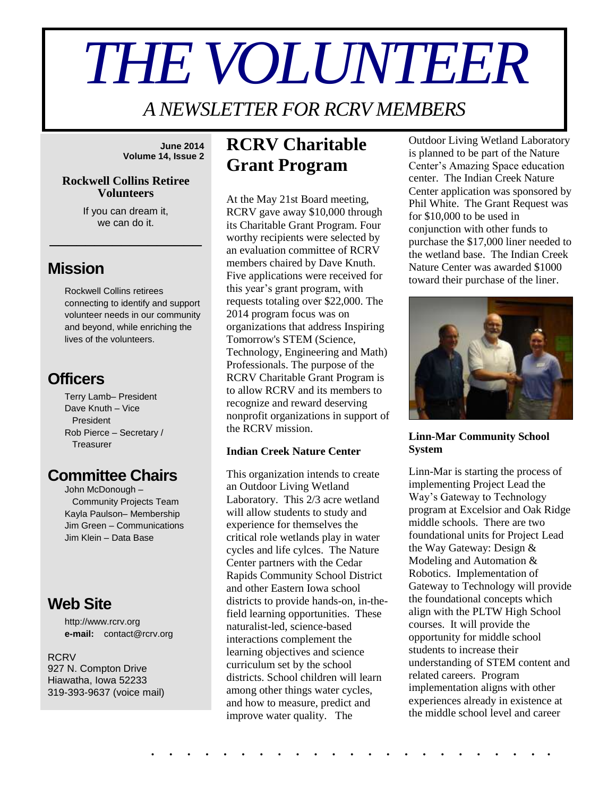# *THE VOLUNTEER*

*A NEWSLETTER FOR RCRV MEMBERS*

**June 2014 Volume 14, Issue 2**

#### **Rockwell Collins Retiree Volunteers**

If you can dream it, we can do it.

\_\_\_\_\_\_\_\_\_\_\_\_\_\_\_\_\_

## **Mission**

Rockwell Collins retirees connecting to identify and support volunteer needs in our community and beyond, while enriching the lives of the volunteers.

## **Officers**

Terry Lamb– President Dave Knuth – Vice President Rob Pierce – Secretary / **Treasurer** 

## **Committee Chairs**

John McDonough – Community Projects Team Kayla Paulson– Membership Jim Green – Communications Jim Klein – Data Base

## **Web Site**

http://www.rcrv.org **e-mail:** contact@rcrv.org

#### **RCRV** 927 N. Compton Drive Hiawatha, Iowa 52233 319-393-9637 (voice mail)

## **RCRV Charitable Grant Program**

At the May 21st Board meeting, RCRV gave away \$10,000 through its Charitable Grant Program. Four worthy recipients were selected by an evaluation committee of RCRV members chaired by Dave Knuth. Five applications were received for this year's grant program, with requests totaling over \$22,000. The 2014 program focus was on organizations that address Inspiring Tomorrow's STEM (Science, Technology, Engineering and Math) Professionals. The purpose of the RCRV Charitable Grant Program is to allow RCRV and its members to recognize and reward deserving nonprofit organizations in support of the RCRV mission.

## **Indian Creek Nature Center**

This organization intends to create an Outdoor Living Wetland Laboratory. This 2/3 acre wetland will allow students to study and experience for themselves the critical role wetlands play in water cycles and life cylces. The Nature Center partners with the Cedar Rapids Community School District and other Eastern Iowa school districts to provide hands-on, in-thefield learning opportunities. These naturalist-led, science-based interactions complement the learning objectives and science curriculum set by the school districts. School children will learn among other things water cycles, and how to measure, predict and improve water quality. The

. . . . . . . . . . . . . . . . . . . . . . .

Outdoor Living Wetland Laboratory is planned to be part of the Nature Center's Amazing Space education center. The Indian Creek Nature Center application was sponsored by Phil White. The Grant Request was for \$10,000 to be used in conjunction with other funds to purchase the \$17,000 liner needed to the wetland base. The Indian Creek Nature Center was awarded \$1000 toward their purchase of the liner.



## **Linn-Mar Community School System**

Linn-Mar is starting the process of implementing Project Lead the Way's Gateway to Technology program at Excelsior and Oak Ridge middle schools. There are two foundational units for Project Lead the Way Gateway: Design & Modeling and Automation & Robotics. Implementation of Gateway to Technology will provide the foundational concepts which align with the PLTW High School courses. It will provide the opportunity for middle school students to increase their understanding of STEM content and related careers. Program implementation aligns with other experiences already in existence at the middle school level and career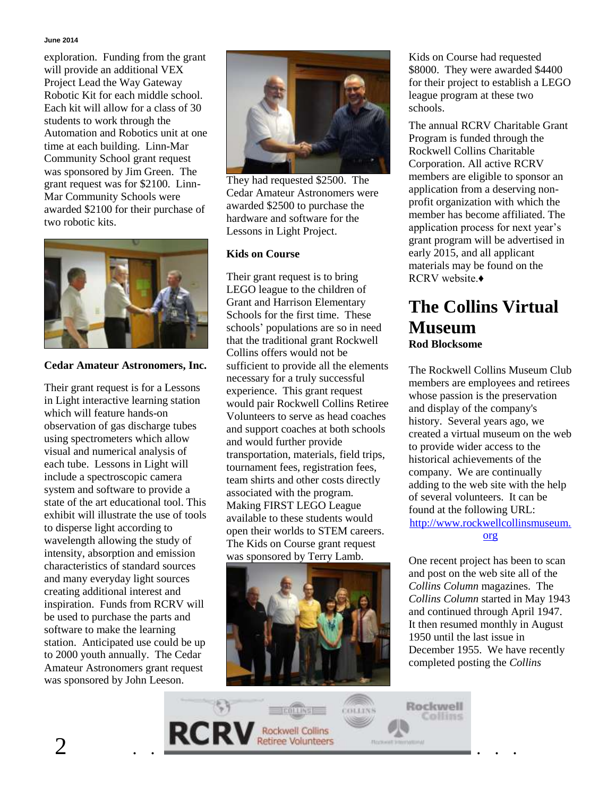#### **June 2014**

exploration. Funding from the grant will provide an additional VEX Project Lead the Way Gateway Robotic Kit for each middle school. Each kit will allow for a class of 30 students to work through the Automation and Robotics unit at one time at each building. Linn-Mar Community School grant request was sponsored by Jim Green. The grant request was for \$2100. Linn-Mar Community Schools were awarded \$2100 for their purchase of two robotic kits.



### **Cedar Amateur Astronomers, Inc.**

Their grant request is for a Lessons in Light interactive learning station which will feature hands-on observation of gas discharge tubes using spectrometers which allow visual and numerical analysis of each tube. Lessons in Light will include a spectroscopic camera system and software to provide a state of the art educational tool. This exhibit will illustrate the use of tools to disperse light according to wavelength allowing the study of intensity, absorption and emission characteristics of standard sources and many everyday light sources creating additional interest and inspiration. Funds from RCRV will be used to purchase the parts and software to make the learning station. Anticipated use could be up to 2000 youth annually. The Cedar Amateur Astronomers grant request was sponsored by John Leeson.



They had requested \$2500. The Cedar Amateur Astronomers were awarded \$2500 to purchase the hardware and software for the Lessons in Light Project.

## **Kids on Course**

Their grant request is to bring LEGO league to the children of Grant and Harrison Elementary Schools for the first time. These schools' populations are so in need that the traditional grant Rockwell Collins offers would not be sufficient to provide all the elements necessary for a truly successful experience. This grant request would pair Rockwell Collins Retiree Volunteers to serve as head coaches and support coaches at both schools and would further provide transportation, materials, field trips, tournament fees, registration fees, team shirts and other costs directly associated with the program. Making FIRST LEGO League available to these students would open their worlds to STEM careers. The Kids on Course grant request was sponsored by Terry Lamb.



Kids on Course had requested \$8000. They were awarded \$4400 for their project to establish a LEGO league program at these two schools.

The annual RCRV Charitable Grant Program is funded through the Rockwell Collins Charitable Corporation. All active RCRV members are eligible to sponsor an application from a deserving nonprofit organization with which the member has become affiliated. The application process for next year's grant program will be advertised in early 2015, and all applicant materials may be found on the RCRV website.♦

## **The Collins Virtual Museum Rod Blocksome**

The Rockwell Collins Museum Club members are employees and retirees whose passion is the preservation and display of the company's history. Several years ago, we created a virtual museum on the web to provide wider access to the historical achievements of the company. We are continually adding to the web site with the help of several volunteers. It can be found at the following URL: [http://www.rockwellcollinsmuseum.](http://www.rockwellcollinsmuseum.org/) [org](http://www.rockwellcollinsmuseum.org/)

One recent project has been to scan and post on the web site all of the *Collins Column* magazines. The *Collins Column* started in May 1943 and continued through April 1947. It then resumed monthly in August 1950 until the last issue in December 1955. We have recently completed posting the *Collins* 

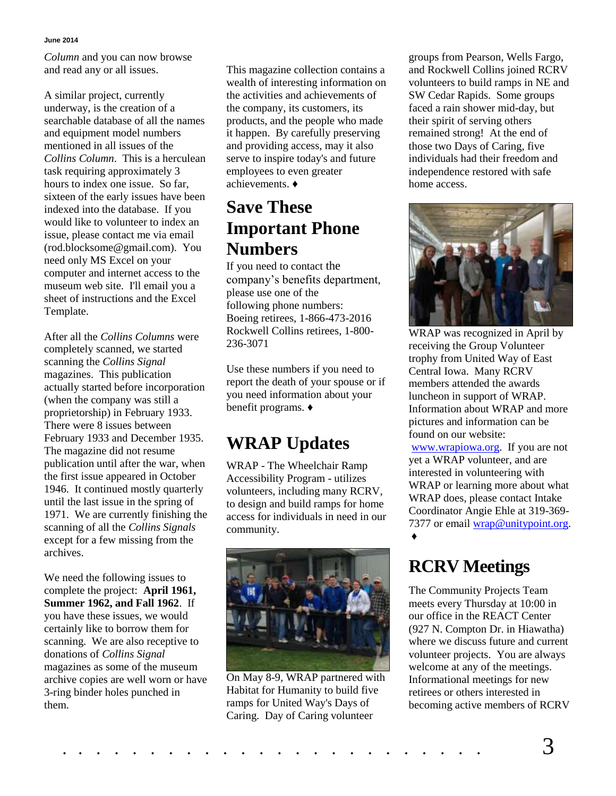#### **June 2014**

*Column* and you can now browse and read any or all issues.

A similar project, currently underway, is the creation of a searchable database of all the names and equipment model numbers mentioned in all issues of the *Collins Column*. This is a herculean task requiring approximately 3 hours to index one issue. So far, sixteen of the early issues have been indexed into the database. If you would like to volunteer to index an issue, please contact me via email (rod.blocksome@gmail.com). You need only MS Excel on your computer and internet access to the museum web site. I'll email you a sheet of instructions and the Excel Template.

After all the *Collins Columns* were completely scanned, we started scanning the *Collins Signal* magazines. This publication actually started before incorporation (when the company was still a proprietorship) in February 1933. There were 8 issues between February 1933 and December 1935. The magazine did not resume publication until after the war, when the first issue appeared in October 1946. It continued mostly quarterly until the last issue in the spring of 1971. We are currently finishing the scanning of all the *Collins Signals* except for a few missing from the archives.

We need the following issues to complete the project: **April 1961, Summer 1962, and Fall 1962**. If you have these issues, we would certainly like to borrow them for scanning. We are also receptive to donations of *Collins Signal* magazines as some of the museum archive copies are well worn or have 3-ring binder holes punched in them.

This magazine collection contains a wealth of interesting information on the activities and achievements of the company, its customers, its products, and the people who made it happen. By carefully preserving and providing access, may it also serve to inspire today's and future employees to even greater achievements. ♦

## **Save These Important Phone Numbers**

If you need to contact the company's benefits department, please use one of the following phone numbers: Boeing retirees, 1-866-473-2016 Rockwell Collins retirees, 1-800- 236-3071

Use these numbers if you need to report the death of your spouse or if you need information about your benefit programs. ♦

# **WRAP Updates**

WRAP - The Wheelchair Ramp Accessibility Program - utilizes volunteers, including many RCRV, to design and build ramps for home access for individuals in need in our community.



On May 8-9, WRAP partnered with Habitat for Humanity to build five ramps for United Way's Days of Caring. Day of Caring volunteer

groups from Pearson, Wells Fargo, and Rockwell Collins joined RCRV volunteers to build ramps in NE and SW Cedar Rapids. Some groups faced a rain shower mid-day, but their spirit of serving others remained strong! At the end of those two Days of Caring, five individuals had their freedom and independence restored with safe home access.



WRAP was recognized in April by receiving the Group Volunteer trophy from United Way of East Central Iowa. Many RCRV members attended the awards luncheon in support of WRAP. Information about WRAP and more pictures and information can be found on our website:

[www.wrapiowa.org.](http://www.wrapiowa.org/) If you are not yet a WRAP volunteer, and are interested in volunteering with WRAP or learning more about what WRAP does, please contact Intake Coordinator Angie Ehle at 319-369 7377 or email [wrap@unitypoint.org.](mailto:wrap@unitypoint.org) ♦

## **RCRV Meetings**

The Community Projects Team meets every Thursday at 10:00 in our office in the REACT Center (927 N. Compton Dr. in Hiawatha) where we discuss future and current volunteer projects. You are always welcome at any of the meetings. Informational meetings for new retirees or others interested in becoming active members of RCRV